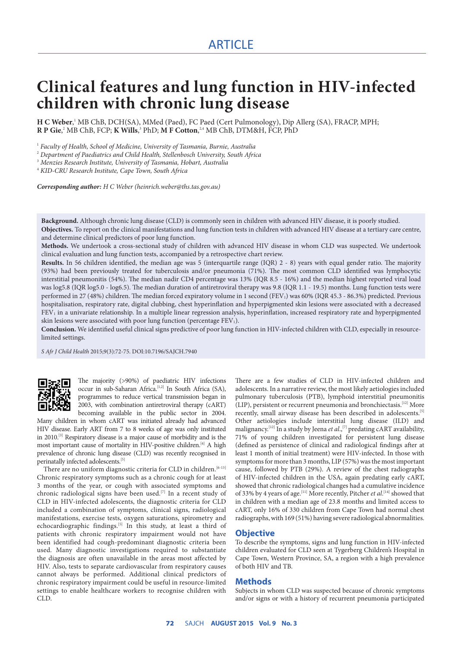# **Clinical features and lung function in HIV-infected children with chronic lung disease**

**H C Weber**,<sup>1</sup> MB ChB, DCH(SA), MMed (Paed), FC Paed (Cert Pulmonology), Dip Allerg (SA), FRACP, MPH; **R P Gie**, 2 MB ChB, FCP; **K Wills**, 3 PhD; **M F Cotton**, 2,4 MB ChB, DTM&H, FCP, PhD

1  *Faculty of Health, School of Medicine, University of Tasmania, Burnie, Australia*

2  *Department of Paediatrics and Child Health, Stellenbosch University, South Africa*

3  *Menzies Research Institute, University of Tasmania, Hobart, Australia*

4  *KID-CRU Research Institute, Cape Town, South Africa*

*Corresponding author: H C Weber (heinrich.weber@ths.tas.gov.au)*

**Background.** Although chronic lung disease (CLD) is commonly seen in children with advanced HIV disease, it is poorly studied. **Objectives.** To report on the clinical manifestations and lung function tests in children with advanced HIV disease at a tertiary care centre, and determine clinical predictors of poor lung function.

**Methods.** We undertook a cross-sectional study of children with advanced HIV disease in whom CLD was suspected. We undertook clinical evaluation and lung function tests, accompanied by a retrospective chart review.

**Results.** In 56 children identified, the median age was 5 (interquartile range (IQR) 2 - 8) years with equal gender ratio. The majority (93%) had been previously treated for tuberculosis and/or pneumonia (71%). The most common CLD identified was lymphocytic interstitial pneumonitis (54%). The median nadir CD4 percentage was 13% (IQR 8.5 - 16%) and the median highest reported viral load was log5.8 (IQR log5.0 - log6.5). The median duration of antiretroviral therapy was 9.8 (IQR 1.1 - 19.5) months. Lung function tests were performed in 27 (48%) children. The median forced expiratory volume in 1 second (FEV<sub>1</sub>) was 60% (IQR 45.3 - 86.3%) predicted. Previous hospitalisation, respiratory rate, digital clubbing, chest hyperinflation and hyperpigmented skin lesions were associated with a decreased FEV<sub>1</sub> in a univariate relationship. In a multiple linear regression analysis, hyperinflation, increased respiratory rate and hyperpigmented skin lesions were associated with poor lung function (percentage  $FEV<sub>1</sub>$ ).

**Conclusion.** We identified useful clinical signs predictive of poor lung function in HIV-infected children with CLD, especially in resourcelimited settings.

*S Afr J Child Health* 2015;9(3):72-75. DOI:10.7196/SAJCH.7940



The majority (>90%) of paediatric HIV infections occur in sub-Saharan Africa.<sup>[1,2]</sup> In South Africa (SA), programmes to reduce vertical transmission began in 2003, with combination antiretroviral therapy (cART) becoming available in the public sector in 2004.

Many children in whom cART was initiated already had advanced HIV disease. Early ART from 7 to 8 weeks of age was only instituted in 2010.<sup>[3]</sup> Respiratory disease is a major cause of morbidity and is the most important cause of mortality in HIV-positive children.<sup>[4]</sup> A high prevalence of chronic lung disease (CLD) was recently recognised in perinatally infected adolescents.<sup>[5]</sup>

There are no uniform diagnostic criteria for CLD in children.<sup>[6-13]</sup> Chronic respiratory symptoms such as a chronic cough for at least 3 months of the year, or cough with associated symptoms and chronic radiological signs have been used.[7] In a recent study of CLD in HIV-infected adolescents, the diagnostic criteria for CLD included a combination of symptoms, clinical signs, radiological manifestations, exercise tests, oxygen saturations, spirometry and echocardiographic findings.<sup>[5]</sup> In this study, at least a third of patients with chronic respiratory impairment would not have been identified had cough-predominant diagnostic criteria been used. Many diagnostic investigations required to substantiate the diagnosis are often unavailable in the areas most affected by HIV. Also, tests to separate cardiovascular from respiratory causes cannot always be performed. Additional clinical predictors of chronic respiratory impairment could be useful in resource-limited settings to enable healthcare workers to recognise children with CLD.

There are a few studies of CLD in HIV-infected children and adolescents. In a narrative review, the most likely aetiologies included pulmonary tuberculosis (PTB), lymphoid interstitial pneumonitis (LIP), persistent or recurrent pneumonia and bronchiectasis.[12] More recently, small airway disease has been described in adolescents.<sup>[5]</sup> Other aetiologies include interstitial lung disease (ILD) and malignancy.<sup>[12]</sup> In a study by Jeena *et al.*,<sup>[7]</sup> predating cART availability, 71% of young children investigated for persistent lung disease (defined as persistence of clinical and radiological findings after at least 1 month of initial treatment) were HIV-infected. In those with symptoms for more than 3 months, LIP (57%) was the most important cause, followed by PTB (29%). A review of the chest radiographs of HIV-infected children in the USA, again predating early cART, showed that chronic radiological changes had a cumulative incidence of 33% by 4 years of age.<sup>[11]</sup> More recently, Pitcher *et al*.<sup>[14]</sup> showed that in children with a median age of 23.8 months and limited access to cART, only 16% of 330 children from Cape Town had normal chest radiographs, with 169 (51%) having severe radiological abnormalities.

## **Objective**

To describe the symptoms, signs and lung function in HIV-infected children evaluated for CLD seen at Tygerberg Children's Hospital in Cape Town, Western Province, SA, a region with a high prevalence of both HIV and TB.

#### **Methods**

Subjects in whom CLD was suspected because of chronic symptoms and/or signs or with a history of recurrent pneumonia participated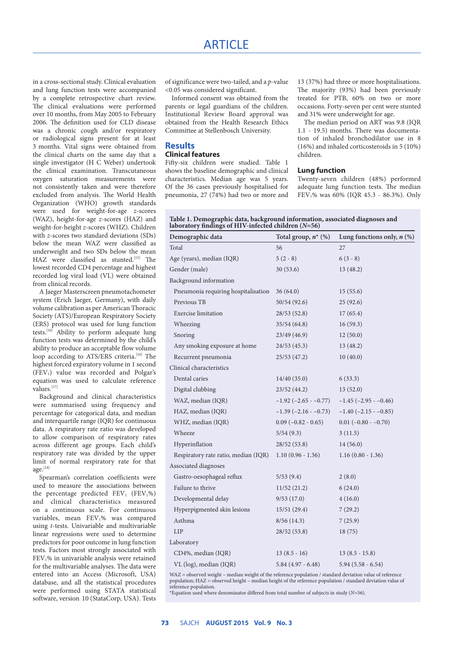in a cross-sectional study. Clinical evaluation and lung function tests were accompanied by a complete retrospective chart review. The clinical evaluations were performed over 10 months, from May 2005 to February 2006. The definition used for CLD disease was a chronic cough and/or respiratory or radiological signs present for at least 3 months. Vital signs were obtained from the clinical charts on the same day that a single investigator (H C Weber) undertook the clinical examination. Transcutaneous oxygen saturation measurements were not consistently taken and were therefore excluded from analysis. The World Health Organization (WHO) growth standards were used for weight-for-age *z*-scores (WAZ), height-for-age *z*-scores (HAZ) and weight-for-height *z*-scores (WHZ). Children with *z*-scores two standard deviations (SDs) below the mean WAZ were classified as underweight and two SDs below the mean HAZ were classified as stunted.<sup>[15]</sup> The lowest recorded CD4 percentage and highest recorded log viral load (VL) were obtained from clinical records.

A Jaeger Masterscreen pneumotachometer system (Erich Jaeger, Germany), with daily volume calibration as per American Thoracic Society (ATS)/European Respiratory Society (ERS) protocol was used for lung function tests.[16] Ability to perform adequate lung function tests was determined by the child's ability to produce an acceptable flow volume loop according to ATS/ERS criteria.<sup>[16]</sup> The highest forced expiratory volume in 1 second (FEV<sub>1</sub>) value was recorded and Polgar's equation was used to calculate reference values.<sup>[17]</sup>

Background and clinical characteristics were summarised using frequency and percentage for categorical data, and median and interquartile range (IQR) for continuous data. A respiratory rate ratio was developed to allow comparison of respiratory rates across different age groups. Each child's respiratory rate was divided by the upper limit of normal respiratory rate for that age.<sup>[18]</sup>

Spearman's correlation coefficients were used to measure the associations between the percentage predicted  $FEV_1$  ( $FEV_1\%$ ) and clinical characteristics measured on a continuous scale. For continuous variables, mean FEV1% was compared using *t*-tests. Univariable and multivariable linear regressions were used to determine predictors for poor outcome in lung function tests. Factors most strongly associated with FEV1% in univariable analysis were retained for the multivariable analyses. The data were entered into an Access (Microsoft, USA) database, and all the statistical procedures were performed using STATA statistical software, version 10 (StataCorp, USA). Tests

of significance were two-tailed, and a *p*-value <0.05 was considered significant.

Informed consent was obtained from the parents or legal guardians of the children. Institutional Review Board approval was obtained from the Health Research Ethics Committee at Stellenbosch University.

## **Results Clinical features**

Fifty-six children were studied. Table 1 shows the baseline demographic and clinical characteristics. Median age was 5 years. Of the 36 cases previously hospitalised for pneumonia, 27 (74%) had two or more and

13 (37%) had three or more hospitalisations. The majority (93%) had been previously treated for PTB, 60% on two or more occasions. Forty-seven per cent were stunted and 31% were underweight for age.

The median period on ART was 9.8 (IQR 1.1 - 19.5) months. There was documentation of inhaled bronchodilator use in 8 (16%) and inhaled corticosteroids in 5 (10%) children.

### **Lung function**

Twenty-seven children (48%) performed adequate lung function tests. The median FEV1% was 60% (IQR 45.3 - 86.3%). Only

| Table 1. Demographic data, background information, associated diagnoses and laboratory findings of HIV-infected children $(N=56)$ |
|-----------------------------------------------------------------------------------------------------------------------------------|
|-----------------------------------------------------------------------------------------------------------------------------------|

| Demographic data                     | Total group, $n^*$ (%)        | Lung functions only, $n$ (%)  |
|--------------------------------------|-------------------------------|-------------------------------|
| Total                                | 56                            | 27                            |
| Age (years), median (IQR)            | $5(2-8)$                      | $6(3-8)$                      |
| Gender (male)                        | 30(53.6)                      | 13(48.2)                      |
| Background information               |                               |                               |
| Pneumonia requiring hospitalisation  | 36(64.0)                      | 15(55.6)                      |
| Previous TB                          | 50/54(92.6)                   | 25(92.6)                      |
| <b>Exercise</b> limitation           | 28/53(52.8)                   | 17(65.4)                      |
| Wheezing                             | 35/54(64.8)                   | 16(59.3)                      |
| Snoring                              | 23/49(46.9)                   | 12(50.0)                      |
| Any smoking exposure at home         | 24/53(45.3)                   | 13(48.2)                      |
| Recurrent pneumonia                  | 25/53(47.2)                   | 10(40.0)                      |
| Clinical characteristics             |                               |                               |
| Dental caries                        | 14/40(35.0)                   | 6(33.3)                       |
| Digital clubbing                     | 23/52(44.2)                   | 13(52.0)                      |
| WAZ, median (IQR)                    | $-1.92$ ( $-2.65$ - $-0.77$ ) | $-1.45$ ( $-2.95$ - $-0.46$ ) |
| HAZ, median (IQR)                    | $-1.39(-2.16 - 0.73)$         | $-1.40$ ( $-2.15$ - $-0.85$ ) |
| WHZ, median (IQR)                    | $0.09$ (-0.82 - 0.65)         | $0.01 (-0.80 - 0.70)$         |
| Wheeze                               | 5/54(9.3)                     | 3(11.5)                       |
| Hyperinflation                       | 28/52(53.8)                   | 14(56.0)                      |
| Respiratory rate ratio, median (IQR) | $1.10(0.96 - 1.36)$           | $1.16(0.80 - 1.36)$           |
| Associated diagnoses                 |                               |                               |
| Gastro-oesophageal reflux            | 5/53(9.4)                     | 2(8.0)                        |
| Failure to thrive                    | 11/52(21.2)                   | 6(24.0)                       |
| Developmental delay                  | 9/53(17.0)                    | 4(16.0)                       |
| Hyperpigmented skin lesions          | 15/51(29.4)                   | 7(29.2)                       |
| Asthma                               | 8/56(14.3)                    | 7(25.9)                       |
| <b>LIP</b>                           | 28/52(53.8)                   | 18(75)                        |
| Laboratory                           |                               |                               |
| CD4%, median (IQR)                   | $13(8.5-16)$                  | $13(8.5 - 15.8)$              |
| VL (log), median (IQR)               | $5.84(4.97 - 6.48)$           | $5.94(5.58 - 6.54)$           |

WAZ = observed weight – median weight of the reference population / standard deviation value of reference population; HAZ = observed height – median height of the reference population / standard deviation value of reference population.

\*Equation used where denominator differed from total number of subjects in study (*N*=56).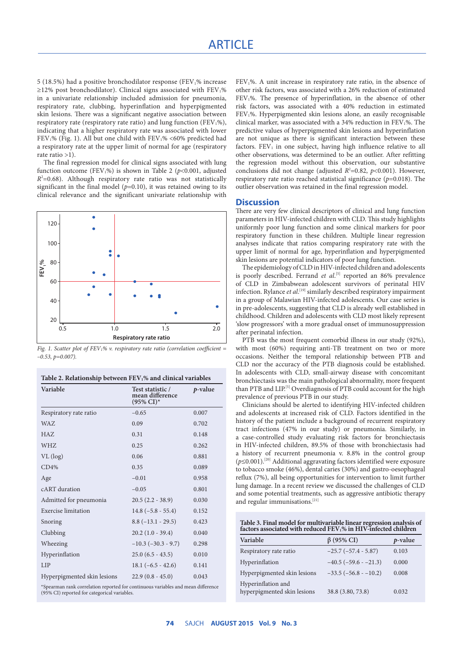5 (18.5%) had a positive bronchodilator response (FEV1% increase ≥12% post bronchodilator). Clinical signs associated with  $FEV<sub>1</sub>%$ in a univariate relationship included admission for pneumonia, respiratory rate, clubbing, hyperinflation and hyperpigmented skin lesions. There was a significant negative association between respiratory rate (respiratory rate ratio) and lung function (FEV<sub>1</sub>%), indicating that a higher respiratory rate was associated with lower FEV<sub>1</sub>% (Fig. 1). All but one child with FEV<sub>1</sub>% <60% predicted had a respiratory rate at the upper limit of normal for age (respiratory rate ratio >1).

The final regression model for clinical signs associated with lung function outcome (FEV<sub>1</sub>%) is shown in Table 2 ( $p$ <0.001, adjusted  $R<sup>2</sup>=0.68$ ). Although respiratory rate ratio was not statistically significant in the final model  $(p=0.10)$ , it was retained owing to its clinical relevance and the significant univariate relationship with



*Fig. 1. Scatter plot of FEV1% v. respiratory rate ratio (correlation coefficient =*   $-0.53, p=0.007$ 

| Table 2. Relationship between FEV <sub>1</sub> % and clinical variables |  |  |  |  |
|-------------------------------------------------------------------------|--|--|--|--|
|-------------------------------------------------------------------------|--|--|--|--|

| Variable                    | Test statistic /<br>mean difference<br>$(95\% \text{ CI})^*$ | p-value |
|-----------------------------|--------------------------------------------------------------|---------|
| Respiratory rate ratio      | $-0.65$                                                      | 0.007   |
| WAZ.                        | 0.09                                                         | 0.702   |
| HAZ.                        | 0.31                                                         | 0.148   |
| WHZ                         | 0.25                                                         | 0.262   |
| $VL$ (log)                  | 0.06                                                         | 0.881   |
| CD4%                        | 0.35                                                         | 0.089   |
| Age                         | $-0.01$                                                      | 0.958   |
| cART duration               | $-0.05$                                                      | 0.801   |
| Admitted for pneumonia      | $20.5(2.2 - 38.9)$                                           | 0.030   |
| Exercise limitation         | $14.8(-5.8 - 55.4)$                                          | 0.152   |
| Snoring                     | $8.8(-13.1 - 29.5)$                                          | 0.423   |
| Clubbing                    | $20.2(1.0 - 39.4)$                                           | 0.040   |
| Wheezing                    | $-10.3$ ( $-30.3 - 9.7$ )                                    | 0.298   |
| Hyperinflation              | $25.0(6.5 - 43.5)$                                           | 0.010   |
| <b>LIP</b>                  | $18.1(-6.5 - 42.6)$                                          | 0.141   |
| Hyperpigmented skin lesions | $22.9(0.8 - 45.0)$                                           | 0.043   |

\*Spearman rank correlation reported for continuous variables and mean difference (95% CI) reported for categorical variables.

FEV1%. A unit increase in respiratory rate ratio, in the absence of other risk factors, was associated with a 26% reduction of estimated FEV1%. The presence of hyperinflation, in the absence of other risk factors, was associated with a 40% reduction in estimated FEV1%. Hyperpigmented skin lesions alone, an easily recognisable clinical marker, was associated with a 34% reduction in FEV<sub>1</sub>%. The predictive values of hyperpigmented skin lesions and hyperinflation are not unique as there is significant interaction between these factors.  $FEV<sub>1</sub>$  in one subject, having high influence relative to all other observations, was determined to be an outlier. After refitting the regression model without this observation, our substantive conclusions did not change (adjusted  $R^2$ =0.82,  $p$ <0.001). However, respiratory rate ratio reached statistical significance (*p*=0.018). The outlier observation was retained in the final regression model.

### **Discussion**

There are very few clinical descriptors of clinical and lung function parameters in HIV-infected children with CLD. This study highlights uniformly poor lung function and some clinical markers for poor respiratory function in these children. Multiple linear regression analyses indicate that ratios comparing respiratory rate with the upper limit of normal for age, hyperinflation and hyperpigmented skin lesions are potential indicators of poor lung function.

The epidemiology of CLD in HIV-infected children and adolescents is poorly described. Ferrand *et al.*<sup>[5]</sup> reported an 86% prevalence of CLD in Zimbabwean adolescent survivors of perinatal HIV infection. Rylance *et al*. [19] similarly described respiratory impairment in a group of Malawian HIV-infected adolescents. Our case series is in pre-adolescents, suggesting that CLD is already well established in childhood. Children and adolescents with CLD most likely represent 'slow progressors' with a more gradual onset of immunosuppression after perinatal infection.

PTB was the most frequent comorbid illness in our study (92%), with most (60%) requiring anti-TB treatment on two or more occasions. Neither the temporal relationship between PTB and CLD nor the accuracy of the PTB diagnosis could be established. In adolescents with CLD, small-airway disease with concomitant bronchiectasis was the main pathological abnormality, more frequent than PTB and LIP.<sup>[5]</sup> Overdiagnosis of PTB could account for the high prevalence of previous PTB in our study.

Clinicians should be alerted to identifying HIV-infected children and adolescents at increased risk of CLD. Factors identified in the history of the patient include a background of recurrent respiratory tract infections (47% in our study) or pneumonia. Similarly, in a case-controlled study evaluating risk factors for bronchiectasis in HIV-infected children, 89.5% of those with bronchiectasis had a history of recurrent pneumonia v. 8.8% in the control group (*p*≤0.001).[20] Additional aggravating factors identified were exposure to tobacco smoke (46%), dental caries (30%) and gastro-oesophageal reflux (7%), all being opportunities for intervention to limit further lung damage. In a recent review we discussed the challenges of CLD and some potential treatments, such as aggressive antibiotic therapy and regular immunisations.[21]

**Table 3. Final model for multivariable linear regression analysis of factors associated with reduced FEV1% in HIV-infected children**

| Variable                                          | $\beta$ (95% CI)              | <i>p</i> -value |
|---------------------------------------------------|-------------------------------|-----------------|
| Respiratory rate ratio                            | $-25.7$ ( $-57.4$ - 5.87)     | 0.103           |
| Hyperinflation                                    | $-40.5$ ( $-59.6$ - $-21.3$ ) | 0.000           |
| Hyperpigmented skin lesions                       | $-33.5$ ( $-56.8$ - $-10.2$ ) | 0.008           |
| Hyperinflation and<br>hyperpigmented skin lesions | 38.8 (3.80, 73.8)             | 0.032           |